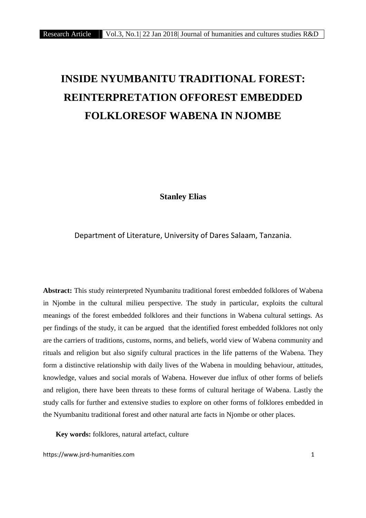# **INSIDE NYUMBANITU TRADITIONAL FOREST: REINTERPRETATION OFFOREST EMBEDDED FOLKLORESOF WABENA IN NJOMBE**

**Stanley Elias**

Department of Literature, University of Dares Salaam, Tanzania.

**Abstract:** This study reinterpreted Nyumbanitu traditional forest embedded folklores of Wabena in Njombe in the cultural milieu perspective. The study in particular, exploits the cultural meanings of the forest embedded folklores and their functions in Wabena cultural settings. As per findings of the study, it can be argued that the identified forest embedded folklores not only are the carriers of traditions, customs, norms, and beliefs, world view of Wabena community and rituals and religion but also signify cultural practices in the life patterns of the Wabena. They form a distinctive relationship with daily lives of the Wabena in moulding behaviour, attitudes, knowledge, values and social morals of Wabena. However due influx of other forms of beliefs and religion, there have been threats to these forms of cultural heritage of Wabena. Lastly the study calls for further and extensive studies to explore on other forms of folklores embedded in the Nyumbanitu traditional forest and other natural arte facts in Njombe or other places.

**Key words:** folklores, natural artefact, culture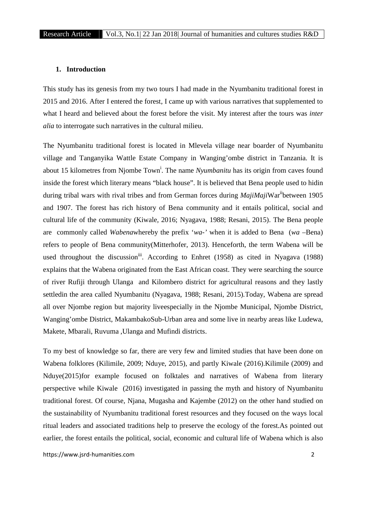## **1. Introduction**

This study has its genesis from my two tours I had made in the Nyumbanitu traditional forest in 2015 and 2016. After I entered the forest, I came up with various narratives that supplemented to what I heard and believed about the forest before the visit. My interest after the tours was *inter alia* to interrogate such narratives in the cultural milieu.

The Nyumbanitu traditional forest is located in Mlevela village near boarder of Nyumbanitu village and Tanganyika Wattle Estate Company in Wanging'ombe district in Tanzania. It is about 15 kilometres from Njombe Town<sup>i</sup>. The name *Nyumbanitu* has its origin from caves found inside the forest which literary means "black house". It is believed that Bena people used to hidin during tribal wars with rival tribes and from German forces during *MajiMaji*War<sup>n</sup>between 1905 and 1907. The forest has rich history of Bena community and it entails political, social and cultural life of the community (Kiwale, 2016; Nyagava, 1988; Resani, 2015). The Bena people are commonly called *Wabena*whereby the prefix '*wa-'* when it is added to Bena (*wa* –Bena) refers to people of Bena community(Mitterhofer, 2013). Henceforth, the term Wabena will be used throughout the discussion<sup>iii</sup>. According to Enhret (1958) as cited in Nyagava (1988) explains that the Wabena originated from the East African coast. They were searching the source of river Rufiji through Ulanga and Kilombero district for agricultural reasons and they lastly settledin the area called Nyumbanitu (Nyagava, 1988; Resani, 2015)*.*Today, Wabena are spread all over Njombe region but majority liveespecially in the Njombe Municipal, Njombe District, Wanging'ombe District, MakambakoSub-Urban area and some live in nearby areas like Ludewa, Makete, Mbarali, Ruvuma ,Ulanga and Mufindi districts.

To my best of knowledge so far, there are very few and limited studies that have been done on Wabena folklores (Kilimile, 2009; Nduye, 2015), and partly Kiwale (2016).Kilimile (2009) and Nduye(2015)for example focused on folktales and narratives of Wabena from literary perspective while Kiwale (2016) investigated in passing the myth and history of Nyumbanitu traditional forest. Of course, Njana, Mugasha and Kajembe (2012) on the other hand studied on the sustainability of Nyumbanitu traditional forest resources and they focused on the ways local ritual leaders and associated traditions help to preserve the ecology of the forest.As pointed out earlier, the forest entails the political, social, economic and cultural life of Wabena which is also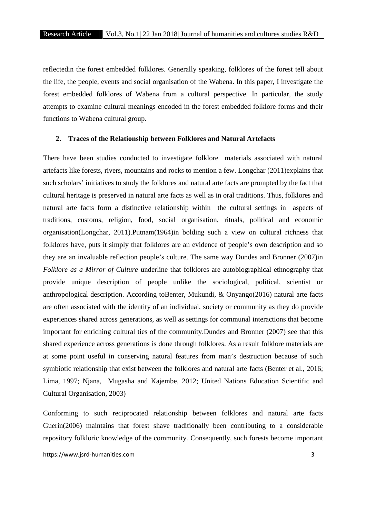reflectedin the forest embedded folklores. Generally speaking, folklores of the forest tell about the life, the people, events and social organisation of the Wabena. In this paper, I investigate the forest embedded folklores of Wabena from a cultural perspective. In particular, the study attempts to examine cultural meanings encoded in the forest embedded folklore forms and their functions to Wabena cultural group.

## **2. Traces of the Relationship between Folklores and Natural Artefacts**

There have been studies conducted to investigate folklore materials associated with natural artefacts like forests, rivers, mountains and rocks to mention a few. Longchar (2011)explains that such scholars' initiatives to study the folklores and natural arte facts are prompted by the fact that cultural heritage is preserved in natural arte facts as well as in oral traditions. Thus, folklores and natural arte facts form a distinctive relationship within the cultural settings in aspects of traditions, customs, religion, food, social organisation, rituals, political and economic organisation(Longchar, 2011).Putnam(1964)in bolding such a view on cultural richness that folklores have, puts it simply that folklores are an evidence of people's own description and so they are an invaluable reflection people's culture. The same way Dundes and Bronner (2007)in *Folklore as a Mirror of Culture* underline that folklores are autobiographical ethnography that provide unique description of people unlike the sociological, political, scientist or anthropological description. According toBenter, Mukundi, & Onyango(2016) natural arte facts are often associated with the identity of an individual, society or community as they do provide experiences shared across generations, as well as settings for communal interactions that become important for enriching cultural ties of the community.Dundes and Bronner (2007) see that this shared experience across generations is done through folklores. As a result folklore materials are at some point useful in conserving natural features from man's destruction because of such symbiotic relationship that exist between the folklores and natural arte facts (Benter et al., 2016; Lima, 1997; Njana, Mugasha and Kajembe, 2012; United Nations Education Scientific and Cultural Organisation, 2003)

Conforming to such reciprocated relationship between folklores and natural arte facts Guerin(2006) maintains that forest shave traditionally been contributing to a considerable repository folkloric knowledge of the community. Consequently, such forests become important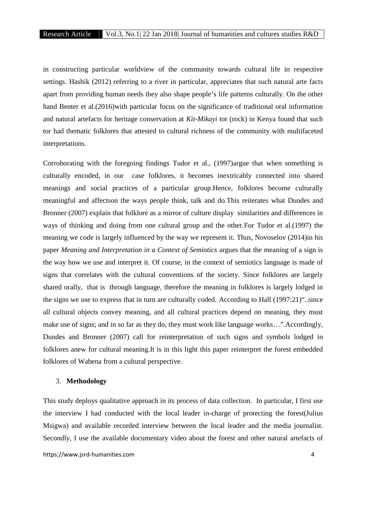in constructing particular worldview of the community towards cultural life in respective settings. Hashik (2012) referring to a river in particular, appreciates that such natural arte facts apart from providing human needs they also shape people's life patterns culturally. On the other hand Benter et al.(2016)with particular focus on the significance of traditional oral information and natural artefacts for heritage conservation at *Kit-Mikayi* tor (rock) in Kenya found that such tor had thematic folklores that attested to cultural richness of the community with multifaceted interpretations.

Corroborating with the foregoing findings Tudor et al., (1997)argue that when something is culturally encoded, in our case folklores, it becomes inextricably connected into shared meanings and social practices of a particular group.Hence, folklores become culturally meaningful and affectson the ways people think, talk and do.This reiterates what Dundes and Bronner (2007) explain that folklore as a mirror of culture display similarities and differences in ways of thinking and doing from one cultural group and the other.For Tudor et al.(1997) the meaning we code is largely influenced by the way we represent it. Thus, Novoselov (2014)in his paper *Meaning and Interpretation in a Context of Semiotics* argues that the meaning of a sign is the way how we use and interpret it. Of course, in the context of semiotics language is made of signs that correlates with the cultural conventions of the society. Since folklores are largely shared orally, that is through language, therefore the meaning in folklores is largely lodged in the signs we use to express that in turn are culturally coded. According to Hall (1997:21)"..since all cultural objects convey meaning, and all cultural practices depend on meaning, they must make use of signs; and in so far as they do, they must work like language works…".Accordingly, Dundes and Bronner (2007) call for reinterpretation of such signs and symbols lodged in folklores anew for cultural meaning.It is in this light this paper reinterpret the forest embedded folklores of Wabena from a cultural perspective.

#### 3. **Methodology**

This study deploys qualitative approach in its process of data collection. In particular, I first use the interview I had conducted with the local leader in-charge of protecting the forest(Julius Msigwa) and available recorded interview between the local leader and the media journalist. Secondly, I use the available documentary video about the forest and other natural artefacts of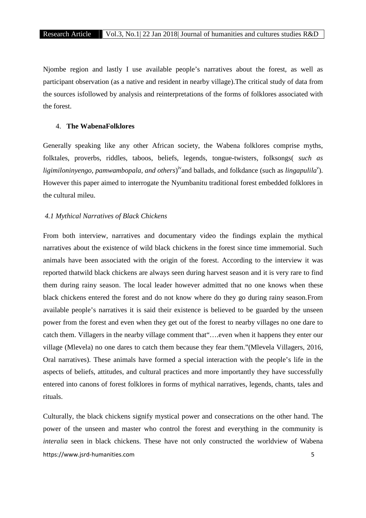Njombe region and lastly I use available people's narratives about the forest, as well as participant observation (as a native and resident in nearby village).The critical study of data from the sources isfollowed by analysis and reinterpretations of the forms of folklores associated with the forest.

## 4. **The WabenaFolklores**

Generally speaking like any other African society, the Wabena folklores comprise myths, folktales, proverbs, riddles, taboos, beliefs, legends, tongue-twisters, folksongs( *such as* ligimiloninyengo, pamwambopala, and others)<sup>iv</sup>and ballads, and folkdance (such as *lingapulila<sup>v</sup>*). However this paper aimed to interrogate the Nyumbanitu traditional forest embedded folklores in the cultural mileu.

#### *4.1 Mythical Narratives of Black Chickens*

From both interview, narratives and documentary video the findings explain the mythical narratives about the existence of wild black chickens in the forest since time immemorial. Such animals have been associated with the origin of the forest. According to the interview it was reported thatwild black chickens are always seen during harvest season and it is very rare to find them during rainy season. The local leader however admitted that no one knows when these black chickens entered the forest and do not know where do they go during rainy season.From available people's narratives it is said their existence is believed to be guarded by the unseen power from the forest and even when they get out of the forest to nearby villages no one dare to catch them. Villagers in the nearby village comment that"….even when it happens they enter our village (Mlevela) no one dares to catch them because they fear them."(Mlevela Villagers, 2016, Oral narratives). These animals have formed a special interaction with the people's life in the aspects of beliefs, attitudes, and cultural practices and more importantly they have successfully entered into canons of forest folklores in forms of mythical narratives, legends, chants, tales and rituals.

https://www.jsrd-humanities.com 5 Culturally, the black chickens signify mystical power and consecrations on the other hand. The power of the unseen and master who control the forest and everything in the community is *interalia* seen in black chickens. These have not only constructed the worldview of Wabena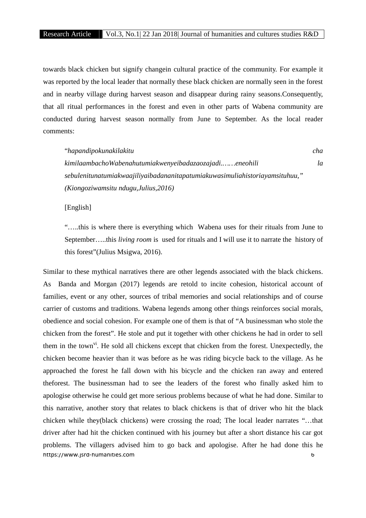towards black chicken but signify changein cultural practice of the community. For example it was reported by the local leader that normally these black chicken are normally seen in the forest and in nearby village during harvest season and disappear during rainy seasons.Consequently, that all ritual performances in the forest and even in other parts of Wabena community are conducted during harvest season normally from June to September. As the local reader comments:

| "hapandipokunakilakitu                                                       | cha |  |
|------------------------------------------------------------------------------|-----|--|
| kimilaambachoWabenahutumiakwenyeibadazaozajadieneohili                       | la  |  |
| sebulenitunatumiakwaajiliyaibadananitapatumiakuwasimuliahistoriayamsituhuu," |     |  |
| (Kiongoziwamsitu ndugu, Julius, 2016)                                        |     |  |

[English]

"…..this is where there is everything which Wabena uses for their rituals from June to September…..this *living room* is used for rituals and I will use it to narrate the history of this forest"(Julius Msigwa, 2016).

https://www.jsrd-humanities.com 6 Similar to these mythical narratives there are other legends associated with the black chickens. As Banda and Morgan (2017) legends are retold to incite cohesion, historical account of families, event or any other, sources of tribal memories and social relationships and of course carrier of customs and traditions. Wabena legends among other things reinforces social morals, obedience and social cohesion. For example one of them is that of "A businessman who stole the chicken from the forest". He stole and put it together with other chickens he had in order to sell them in the town<sup>vi</sup>. He sold all chickens except that chicken from the forest. Unexpectedly, the chicken become heavier than it was before as he was riding bicycle back to the village. As he approached the forest he fall down with his bicycle and the chicken ran away and entered theforest. The businessman had to see the leaders of the forest who finally asked him to apologise otherwise he could get more serious problems because of what he had done. Similar to this narrative, another story that relates to black chickens is that of driver who hit the black chicken while they(black chickens) were crossing the road; The local leader narrates "…that driver after had hit the chicken continued with his journey but after a short distance his car got problems. The villagers advised him to go back and apologise. After he had done this he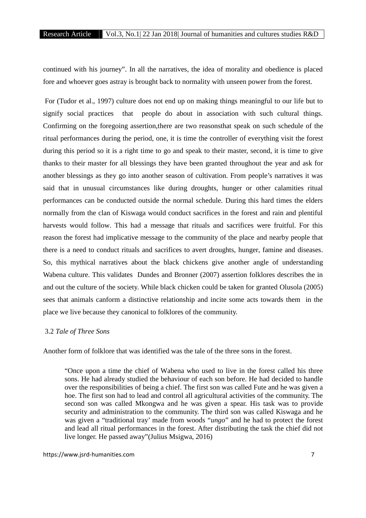continued with his journey". In all the narratives, the idea of morality and obedience is placed fore and whoever goes astray is brought back to normality with unseen power from the forest.

For (Tudor et al., 1997) culture does not end up on making things meaningful to our life but to signify social practices that people do about in association with such cultural things. Confirming on the foregoing assertion,there are two reasonsthat speak on such schedule of the ritual performances during the period, one, it is time the controller of everything visit the forest during this period so it is a right time to go and speak to their master, second, it is time to give thanks to their master for all blessings they have been granted throughout the year and ask for another blessings as they go into another season of cultivation. From people's narratives it was said that in unusual circumstances like during droughts, hunger or other calamities ritual performances can be conducted outside the normal schedule. During this hard times the elders normally from the clan of Kiswaga would conduct sacrifices in the forest and rain and plentiful harvests would follow. This had a message that rituals and sacrifices were fruitful. For this reason the forest had implicative message to the community of the place and nearby people that there is a need to conduct rituals and sacrifices to avert droughts, hunger, famine and diseases. So, this mythical narratives about the black chickens give another angle of understanding Wabena culture. This validates Dundes and Bronner (2007) assertion folklores describes the in and out the culture of the society. While black chicken could be taken for granted Olusola (2005) sees that animals canform a distinctive relationship and incite some acts towards them in the place we live because they canonical to folklores of the community.

#### 3.2 *Tale of Three Sons*

Another form of folklore that was identified was the tale of the three sons in the forest.

"Once upon a time the chief of Wabena who used to live in the forest called his three sons. He had already studied the behaviour of each son before. He had decided to handle over the responsibilities of being a chief. The first son was called Fute and he was given a hoe. The first son had to lead and control all agricultural activities of the community. The second son was called Mkongwa and he was given a spear. His task was to provide security and administration to the community. The third son was called Kiswaga and he was given a "traditional tray' made from woods "*ungo*" and he had to protect the forest and lead all ritual performances in the forest. After distributing the task the chief did not live longer. He passed away"(Julius Msigwa, 2016)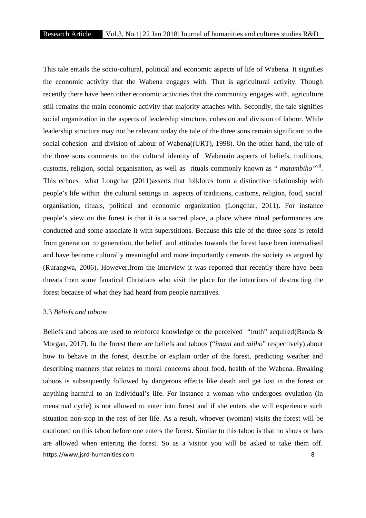This tale entails the socio-cultural, political and economic aspects of life of Wabena. It signifies the economic activity that the Wabena engages with. That is agricultural activity. Though recently there have been other economic activities that the community engages with, agriculture still remains the main economic activity that majority attaches with. Secondly, the tale signifies social organization in the aspects of leadership structure, cohesion and division of labour. While leadership structure may not be relevant today the tale of the three sons remain significant to the social cohesion and division of labour of Wabena((URT), 1998). On the other hand, the tale of the three sons comments on the cultural identity of Wabenain aspects of beliefs, traditions, customs, religion, social organisation, as well as rituals commonly known as " *matambiho"*vii. This echoes what Longchar (2011)asserts that folklores form a distinctive relationship with people's life within the cultural settings in aspects of traditions, customs, religion, food, social organisation, rituals, political and economic organization (Longchar, 2011). For instance people's view on the forest is that it is a sacred place, a place where ritual performances are conducted and some associate it with superstitions. Because this tale of the three sons is retold from generation to generation, the belief and attitudes towards the forest have been internalised and have become culturally meaningful and more importantly cements the society as argued by (Rurangwa, 2006). However,from the interview it was reported that recently there have been threats from some fanatical Christians who visit the place for the intentions of destructing the forest because of what they had heard from people narratives.

#### 3.3 *Beliefs and taboos*

https://www.jsrd-humanities.com 8 Beliefs and taboos are used to reinforce knowledge or the perceived "truth" acquired(Banda & Morgan, 2017). In the forest there are beliefs and taboos ("*imani* and *miiho*" respectively) about how to behave in the forest, describe or explain order of the forest, predicting weather and describing manners that relates to moral concerns about food, health of the Wabena. Breaking taboos is subsequently followed by dangerous effects like death and get lost in the forest or anything harmful to an individual's life. For instance a woman who undergoes ovulation (in menstrual cycle) is not allowed to enter into forest and if she enters she will experience such situation non-stop in the rest of her life. As a result, whoever (woman) visits the forest will be cautioned on this taboo before one enters the forest. Similar to this taboo is that no shoes or hats are allowed when entering the forest. So as a visitor you will be asked to take them off.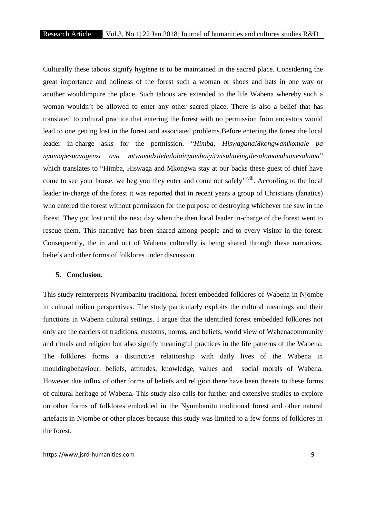Culturally these taboos signify hygiene is to be maintained in the sacred place. Considering the great importance and holiness of the forest such a woman or shoes and hats in one way or another wouldimpure the place. Such taboos are extended to the life Wabena whereby such a woman wouldn't be allowed to enter any other sacred place. There is also a belief that has translated to cultural practice that entering the forest with no permission from ancestors would lead to one getting lost in the forest and associated problems.Before entering the forest the local leader in-charge asks for the permission. "*Himba, HiswaganaMkongwamkomale pa nyumapesuavagenzi ava mtwavadzilehulolainyumbaiyitwisuhavingilesalamavahumesalama*" which translates to "Himba, Hiswaga and Mkongwa stay at our backs these guest of chief have come to see your house, we beg you they enter and come out safely''viii. According to the local leader in-charge of the forest it was reported that in recent years a group of Christians (fanatics) who entered the forest without permission for the purpose of destroying whichever the saw in the forest. They got lost until the next day when the then local leader in-charge of the forest went to rescue them. This narrative has been shared among people and to every visitor in the forest. Consequently, the in and out of Wabena culturally is being shared through these narratives, beliefs and other forms of folklores under discussion.

#### **5. Conclusion.**

This study reinterprets Nyumbanitu traditional forest embedded folklores of Wabena in Njombe in cultural milieu perspectives. The study particularly exploits the cultural meanings and their functions in Wabena cultural settings. I argue that the identified forest embedded folklores not only are the carriers of traditions, customs, norms, and beliefs, world view of Wabenacommunity and rituals and religion but also signify meaningful practices in the life patterns of the Wabena. The folklores forms a distinctive relationship with daily lives of the Wabena in mouldingbehaviour, beliefs, attitudes, knowledge, values and social morals of Wabena. However due influx of other forms of beliefs and religion there have been threats to these forms of cultural heritage of Wabena. This study also calls for further and extensive studies to explore on other forms of folklores embedded in the Nyumbanitu traditional forest and other natural artefacts in Njombe or other places because this study was limited to a few forms of folklores in the forest.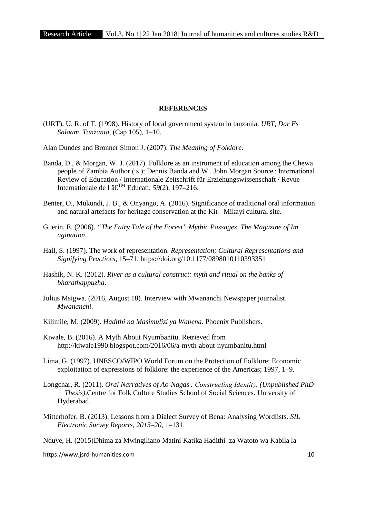## **REFERENCES**

(URT), U. R. of T. (1998). History of local government system in tanzania. *URT, Dar Es Salaam, Tanzania*, (Cap 105), 1–10.

Alan Dundes and Bronner Simon J. (2007). *The Meaning of Folklore*.

- Banda, D., & Morgan, W. J. (2017). Folklore as an instrument of education among the Chewa people of Zambia Author ( s ): Dennis Banda and W . John Morgan Source : International Review of Education / Internationale Zeitschrift für Erziehungswissenschaft / Revue Internationale de l â€ TM Educati, *59*(2), 197–216.
- Benter, O., Mukundi, J. B., & Onyango, A. (2016). Significance of traditional oral information and natural artefacts for heritage conservation at the Kit- Mikayi cultural site.
- Guerin, E. (2006). *"The Fairy Tale of the Forest" Mythic Passages*. *The Magazine of Im agination*.
- Hall, S. (1997). The work of representation. *Representation: Cultural Representations and Signifying Practices*, 15–71. https://doi.org/10.1177/0898010110393351
- Hashik, N. K. (2012). *River as a cultural construct: myth and ritual on the banks of bharathappuzha*.
- Julius Msigwa. (2016, August 18). Interview with Mwananchi Newspaper journalist. *Mwananchi*.
- Kilimile, M. (2009). *Hadithi na Masimulizi ya Wabena.* Phoenix Publishers.
- Kiwale, B. (2016). A Myth About Nyumbanitu. Retrieved from http://kiwale1990.blogspot.com/2016/06/a-myth-about-nyumbanitu.html
- Lima, G. (1997). UNESCO/WIPO World Forum on the Protection of Folklore; Economic exploitation of expressions of folklore: the experience of the Americas; 1997, 1–9.
- Longchar, R. (2011). *Oral Narratives of Ao-Nagas : Constructing Identity. (Unpublished PhD Thesis)*.Centre for Folk Culture Studies School of Social Sciences. University of Hyderabad.
- Mitterhofer, B. (2013). Lessons from a Dialect Survey of Bena: Analysing Wordlists. *SIL Electronic Survey Reports*, *2013*–*20*, 1–131.

Nduye, H. (2015)Dhima za Mwingiliano Matini Katika Hadithi za Watoto wa Kabila la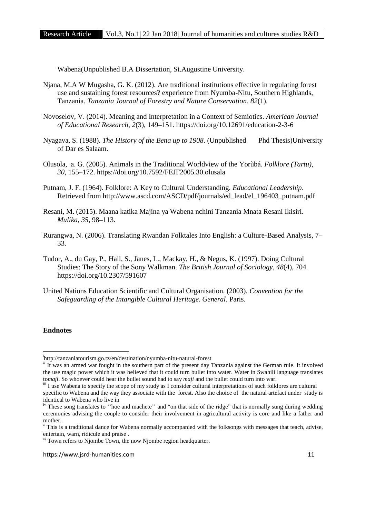Wabena(Unpublished B.A Dissertation, St.Augustine University.

- Njana, M.A W Mugasha, G. K. (2012). Are traditional institutions effective in regulating forest use and sustaining forest resources? experience from Nyumba-Nitu, Southern Highlands, Tanzania. *Tanzania Journal of Forestry and Nature Conservation*, *82*(1).
- Novoselov, V. (2014). Meaning and Interpretation in a Context of Semiotics. *American Journal of Educational Research*, *2*(3), 149–151. https://doi.org/10.12691/education-2-3-6
- Nyagava, S. (1988). *The History of the Bena up to 1908*. (Unpublished Phd Thesis)University of Dar es Salaam.
- Olusola, a. G. (2005). Animals in the Traditional Worldview of the Yorùbá. *Folklore (Tartu)*, *30*, 155–172. https://doi.org/10.7592/FEJF2005.30.olusala
- Putnam, J. F. (1964). Folklore: A Key to Cultural Understanding. *Educational Leadership*. Retrieved from http://www.ascd.com/ASCD/pdf/journals/ed\_lead/el\_196403\_putnam.pdf
- Resani, M. (2015). Maana katika Majina ya Wabena nchini Tanzania Mnata Resani Ikisiri. *Mulika*, *35*, 98–113.
- Rurangwa, N. (2006). Translating Rwandan Folktales Into English: a Culture-Based Analysis, 7– 33.
- Tudor, A., du Gay, P., Hall, S., Janes, L., Mackay, H., & Negus, K. (1997). Doing Cultural Studies: The Story of the Sony Walkman. *The British Journal of Sociology*, *48*(4), 704. https://doi.org/10.2307/591607
- United Nations Education Scientific and Cultural Organisation. (2003). *Convention for the Safeguarding of the Intangible Cultural Heritage. General*. Paris.

## **Endnotes**

<sup>i</sup>http://tanzaniatourism.go.tz/en/destination/nyumba-nitu-natural-forest

<sup>&</sup>lt;sup>ii</sup> It was an armed war fought in the southern part of the present day Tanzania against the German rule. It involved the use magic power which it was believed that it could turn bullet into water. Water in Swahili language translates to*maji*. So whoever could hear the bullet sound had to say *maji* and the bullet could turn into war.

iii I use Wabena to specify the scope of my study as I consider cultural interpretations of such folklores are cultural specific to Wabena and the way they associate with the forest. Also the choice of the natural artefact under study is identical to Wabena who live in

<sup>&</sup>lt;sup>iv</sup> These song translates to "hoe and machete" and "on that side of the ridge" that is normally sung during wedding ceremonies advising the couple to consider their involvement in agricultural activity is core and like a father and wother.<br><sup>v</sup> This is a traditional dance for Wabena normally accompanied with the folksongs with messages that teach, advise,

entertain, warn, ridicule and praise .<br><sup>vi</sup> Town refers to Njombe Town, the now Njombe region headquarter.